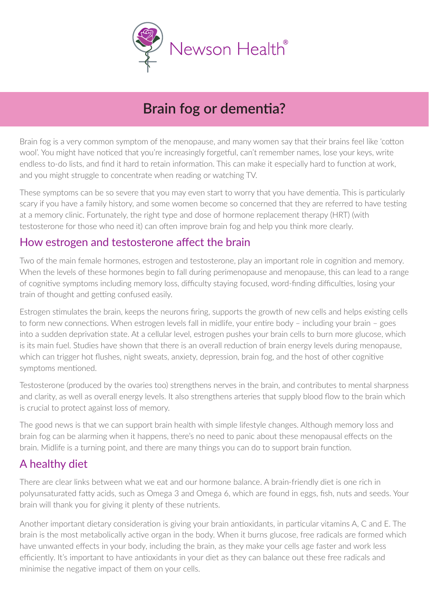

# **Brain fog or dementia?**

Brain fog is a very common symptom of the menopause, and many women say that their brains feel like 'cotton wool'. You might have noticed that you're increasingly forgetful, can't remember names, lose your keys, write endless to-do lists, and find it hard to retain information. This can make it especially hard to function at work, and you might struggle to concentrate when reading or watching TV.

These symptoms can be so severe that you may even start to worry that you have dementia. This is particularly scary if you have a family history, and some women become so concerned that they are referred to have testing at a memory clinic. Fortunately, the right type and dose of hormone replacement therapy (HRT) (with testosterone for those who need it) can often improve brain fog and help you think more clearly.

### How estrogen and testosterone affect the brain

Two of the main female hormones, estrogen and testosterone, play an important role in cognition and memory. When the levels of these hormones begin to fall during perimenopause and menopause, this can lead to a range of cognitive symptoms including memory loss, difficulty staying focused, word-finding difficulties, losing your train of thought and getting confused easily.

Estrogen stimulates the brain, keeps the neurons firing, supports the growth of new cells and helps existing cells to form new connections. When estrogen levels fall in midlife, your entire body – including your brain – goes into a sudden deprivation state. At a cellular level, estrogen pushes your brain cells to burn more glucose, which is its main fuel. Studies have shown that there is an overall reduction of brain energy levels during menopause, which can trigger hot flushes, night sweats, anxiety, depression, brain fog, and the host of other cognitive symptoms mentioned.

Testosterone (produced by the ovaries too) strengthens nerves in the brain, and contributes to mental sharpness and clarity, as well as overall energy levels. It also strengthens arteries that supply blood flow to the brain which is crucial to protect against loss of memory.

The good news is that we can support brain health with simple lifestyle changes. Although memory loss and brain fog can be alarming when it happens, there's no need to panic about these menopausal effects on the brain. Midlife is a turning point, and there are many things you can do to support brain function.

## A healthy diet

There are clear links between what we eat and our hormone balance. A brain-friendly diet is one rich in polyunsaturated fatty acids, such as Omega 3 and Omega 6, which are found in eggs, fish, nuts and seeds. Your brain will thank you for giving it plenty of these nutrients.

Another important dietary consideration is giving your brain antioxidants, in particular vitamins A, C and E. The brain is the most metabolically active organ in the body. When it burns glucose, free radicals are formed which have unwanted effects in your body, including the brain, as they make your cells age faster and work less efficiently. It's important to have antioxidants in your diet as they can balance out these free radicals and minimise the negative impact of them on your cells.